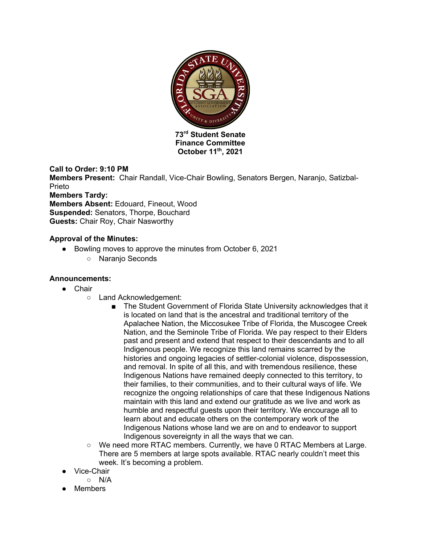

**Finance Committee October 11th, 2021**

## **Call to Order: 9:10 PM**

**Members Present:** Chair Randall, Vice-Chair Bowling, Senators Bergen, Naranjo, Satizbal-Prieto **Members Tardy:** 

**Members Absent:** Edouard, Fineout, Wood **Suspended:** Senators, Thorpe, Bouchard **Guests:** Chair Roy, Chair Nasworthy

## **Approval of the Minutes:**

- Bowling moves to approve the minutes from October 6, 2021
	- Naranjo Seconds

## **Announcements:**

- Chair
	- Land Acknowledgement:
		- The Student Government of Florida State University acknowledges that it is located on land that is the ancestral and traditional territory of the Apalachee Nation, the Miccosukee Tribe of Florida, the Muscogee Creek Nation, and the Seminole Tribe of Florida. We pay respect to their Elders past and present and extend that respect to their descendants and to all Indigenous people. We recognize this land remains scarred by the histories and ongoing legacies of settler-colonial violence, dispossession, and removal. In spite of all this, and with tremendous resilience, these Indigenous Nations have remained deeply connected to this territory, to their families, to their communities, and to their cultural ways of life. We recognize the ongoing relationships of care that these Indigenous Nations maintain with this land and extend our gratitude as we live and work as humble and respectful guests upon their territory. We encourage all to learn about and educate others on the contemporary work of the Indigenous Nations whose land we are on and to endeavor to support Indigenous sovereignty in all the ways that we can.
	- We need more RTAC members. Currently, we have 0 RTAC Members at Large. There are 5 members at large spots available. RTAC nearly couldn't meet this week. It's becoming a problem.
- Vice-Chair
	- N/A
- **Members**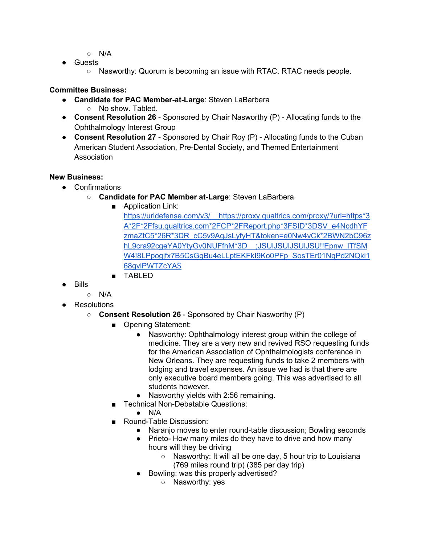- N/A
- Guests
	- $\circ$  Nasworthy: Quorum is becoming an issue with RTAC. RTAC needs people.

#### **Committee Business:**

- **Candidate for PAC Member-at-Large**: Steven LaBarbera
	- No show. Tabled.
- **Consent Resolution 26** Sponsored by Chair Nasworthy (P) Allocating funds to the Ophthalmology Interest Group
- **Consent Resolution 27** Sponsored by Chair Roy (P) Allocating funds to the Cuban American Student Association, Pre-Dental Society, and Themed Entertainment Association

## **New Business:**

- Confirmations
	- **Candidate for PAC Member at-Large**: Steven LaBarbera
		- Application Link:
			- https://urldefense.com/v3/\_\_https://proxy.qualtrics.com/proxy/?url=https\*3 A\*2F\*2Ffsu.qualtrics.com\*2FCP\*2FReport.php\*3FSID\*3DSV\_e4NcdhYF zmaZtC5\*26R\*3DR\_cC5v9AqJsLyfyHT&token=e0Nw4vCk\*2BWN2bC96z hL9cra92cgeYA0YtyGv0NUFfhM\*3D ;JSUIJSUIJSUIJSU!!Epnw\_ITfSM W4!8LPpogjfx7B5CsGgBu4eLLptEKFkI9Ko0PFp\_SosTEr01NqPd2NQki1 68gvlPWTZcYA\$
		- TABLED
- Bills
	- N/A
- Resolutions
	- **Consent Resolution 26** Sponsored by Chair Nasworthy (P)
		- Opening Statement:
			- Nasworthy: Ophthalmology interest group within the college of medicine. They are a very new and revived RSO requesting funds for the American Association of Ophthalmologists conference in New Orleans. They are requesting funds to take 2 members with lodging and travel expenses. An issue we had is that there are only executive board members going. This was advertised to all students however.
			- Nasworthy yields with 2:56 remaining.
		- Technical Non-Debatable Questions:
			- $\bullet$  N/A
		- Round-Table Discussion:
			- Naranjo moves to enter round-table discussion; Bowling seconds
			- Prieto- How many miles do they have to drive and how many hours will they be driving
				- Nasworthy: It will all be one day, 5 hour trip to Louisiana (769 miles round trip) (385 per day trip)
			- Bowling: was this properly advertised?
				- Nasworthy: yes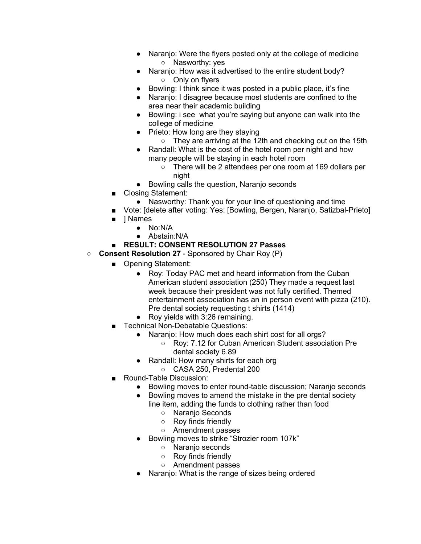- Naranjo: Were the flyers posted only at the college of medicine ○ Nasworthy: yes
- Naranjo: How was it advertised to the entire student body? ○ Only on flyers
- Bowling: I think since it was posted in a public place, it's fine
- Naranjo: I disagree because most students are confined to the area near their academic building
- Bowling: i see what you're saying but anyone can walk into the college of medicine
- Prieto: How long are they staying
	- They are arriving at the 12th and checking out on the 15th
- Randall: What is the cost of the hotel room per night and how many people will be staying in each hotel room
	- There will be 2 attendees per one room at 169 dollars per night
- Bowling calls the question, Naranjo seconds
- Closing Statement:
	- Nasworthy: Thank you for your line of questioning and time
- Vote: [delete after voting: Yes: [Bowling, Bergen, Naranjo, Satizbal-Prieto]
- 1 Names
	- No:N/A
	- Abstain:N/A
- **RESULT: CONSENT RESOLUTION 27 Passes**
- **Consent Resolution 27** Sponsored by Chair Roy (P)
	- Opening Statement:
		- Roy: Today PAC met and heard information from the Cuban American student association (250) They made a request last week because their president was not fully certified. Themed entertainment association has an in person event with pizza (210). Pre dental society requesting t shirts (1414)
		- Roy yields with 3:26 remaining.
	- Technical Non-Debatable Questions:
		- Naranjo: How much does each shirt cost for all orgs?
			- Roy: 7.12 for Cuban American Student association Pre dental society 6.89
		- Randall: How many shirts for each org
			- CASA 250, Predental 200
	- Round-Table Discussion:
		- Bowling moves to enter round-table discussion; Naranjo seconds
		- Bowling moves to amend the mistake in the pre dental society line item, adding the funds to clothing rather than food
			- Naranjo Seconds
			- Roy finds friendly
			- Amendment passes
		- Bowling moves to strike "Strozier room 107k"
			- Naranjo seconds
			- Roy finds friendly
			- Amendment passes
		- Naranjo: What is the range of sizes being ordered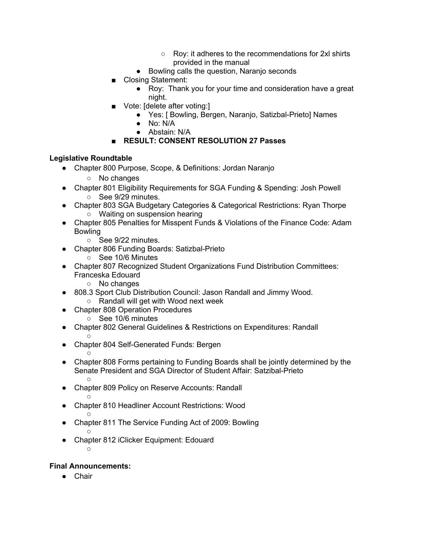- Roy: it adheres to the recommendations for 2xl shirts provided in the manual
- Bowling calls the question, Naranjo seconds
- Closing Statement:
	- Roy: Thank you for your time and consideration have a great night.
- Vote: [delete after voting:]
	- Yes: [ Bowling, Bergen, Naranjo, Satizbal-Prieto] Names
	- No: N/A
	- Abstain: N/A
- **RESULT: CONSENT RESOLUTION 27 Passes**

#### **Legislative Roundtable**

- Chapter 800 Purpose, Scope, & Definitions: Jordan Naranjo
	- No changes
- Chapter 801 Eligibility Requirements for SGA Funding & Spending: Josh Powell
	- See 9/29 minutes.
- Chapter 803 SGA Budgetary Categories & Categorical Restrictions: Ryan Thorpe ○ Waiting on suspension hearing
- Chapter 805 Penalties for Misspent Funds & Violations of the Finance Code: Adam Bowling
	- See 9/22 minutes.
- Chapter 806 Funding Boards: Satizbal-Prieto
	- See 10/6 Minutes
- Chapter 807 Recognized Student Organizations Fund Distribution Committees: Franceska Edouard
	- No changes
- 808.3 Sport Club Distribution Council: Jason Randall and Jimmy Wood.
	- Randall will get with Wood next week
- **Chapter 808 Operation Procedures** 
	- See 10/6 minutes
- **Chapter 802 General Guidelines & Restrictions on Expenditures: Randall**
- $\circ$ ● Chapter 804 Self-Generated Funds: Bergen
- Chapter 808 Forms pertaining to Funding Boards shall be jointly determined by the Senate President and SGA Director of Student Affair: Satzibal-Prieto  $\circ$
- Chapter 809 Policy on Reserve Accounts: Randall
- $\circ$ ● Chapter 810 Headliner Account Restrictions: Wood  $\circ$
- Chapter 811 The Service Funding Act of 2009: Bowling  $\circ$
- Chapter 812 iClicker Equipment: Edouard  $\circ$

#### **Final Announcements:**

 $\circ$ 

● Chair